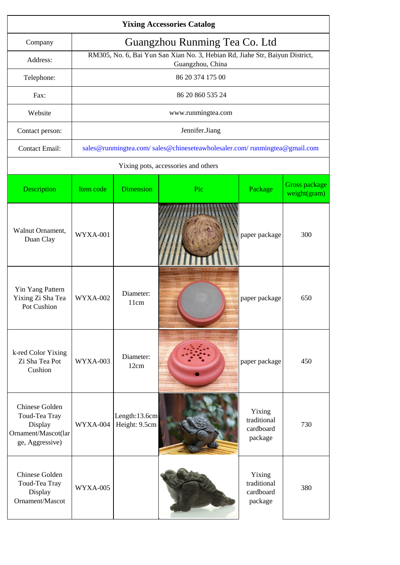|                                                                                      | <b>Yixing Accessories Catalog</b> |                                |                                                                                                  |                                               |                               |  |  |
|--------------------------------------------------------------------------------------|-----------------------------------|--------------------------------|--------------------------------------------------------------------------------------------------|-----------------------------------------------|-------------------------------|--|--|
| Company                                                                              | Guangzhou Runming Tea Co. Ltd     |                                |                                                                                                  |                                               |                               |  |  |
| Address:                                                                             |                                   |                                | RM305, No. 6, Bai Yun San Xian No. 3, Hebian Rd, Jiahe Str, Baiyun District,<br>Guangzhou, China |                                               |                               |  |  |
| Telephone:                                                                           |                                   |                                | 86 20 374 175 00                                                                                 |                                               |                               |  |  |
| Fax:                                                                                 |                                   |                                | 86 20 860 535 24                                                                                 |                                               |                               |  |  |
| Website                                                                              |                                   |                                | www.runmingtea.com                                                                               |                                               |                               |  |  |
| Contact person:                                                                      |                                   |                                | Jennifer.Jiang                                                                                   |                                               |                               |  |  |
| <b>Contact Email:</b>                                                                |                                   |                                | sales@runmingtea.com/sales@chineseteawholesaler.com/runmingtea@gmail.com                         |                                               |                               |  |  |
|                                                                                      |                                   |                                | Yixing pots, accessories and others                                                              |                                               |                               |  |  |
| Description                                                                          | Item code                         | <b>Dimension</b>               | Pic                                                                                              | Package                                       | Gross package<br>weight(gram) |  |  |
| Walnut Ornament.<br>Duan Clay                                                        | WYXA-001                          |                                |                                                                                                  | paper package                                 | 300                           |  |  |
| Yin Yang Pattern<br>Yixing Zi Sha Tea<br>Pot Cushion                                 | WYXA-002                          | Diameter:<br>11cm              |                                                                                                  | paper package                                 | 650                           |  |  |
| k-red Color Yixing<br>Zi Sha Tea Pot<br>Cushion                                      | WYXA-003                          | Diameter:<br>12cm              |                                                                                                  | paper package                                 | 450                           |  |  |
| Chinese Golden<br>Toud-Tea Tray<br>Display<br>Ornament/Mascot(lar<br>ge, Aggressive) | WYXA-004                          | Length:13.6cm<br>Height: 9.5cm |                                                                                                  | Yixing<br>traditional<br>cardboard<br>package | 730                           |  |  |
| Chinese Golden<br>Toud-Tea Tray<br>Display<br>Ornament/Mascot                        | WYXA-005                          |                                |                                                                                                  | Yixing<br>traditional<br>cardboard<br>package | 380                           |  |  |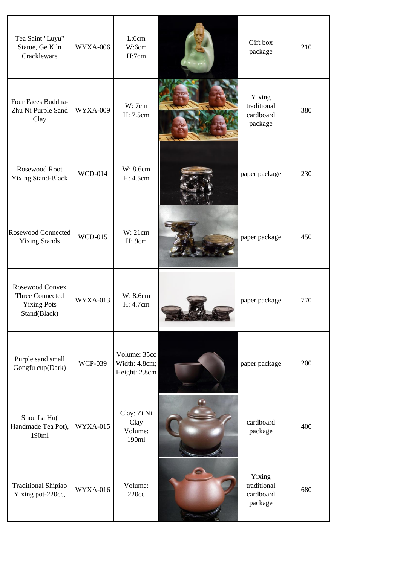| Tea Saint "Luyu"<br>Statue, Ge Kiln<br>Crackleware                       | WYXA-006        | L:6cm<br>W:6cm<br>H:7cm                        | Gift box<br>package                           | 210 |
|--------------------------------------------------------------------------|-----------------|------------------------------------------------|-----------------------------------------------|-----|
| Four Faces Buddha-<br>Zhu Ni Purple Sand<br>Clay                         | <b>WYXA-009</b> | W: 7cm<br>H: 7.5cm                             | Yixing<br>traditional<br>cardboard<br>package | 380 |
| Rosewood Root<br><b>Yixing Stand-Black</b>                               | <b>WCD-014</b>  | W: 8.6cm<br>H: 4.5cm                           | paper package                                 | 230 |
| <b>Rosewood Connected</b><br><b>Yixing Stands</b>                        | <b>WCD-015</b>  | W:21cm<br>H: 9cm                               | paper package                                 | 450 |
| Rosewood Convex<br>Three Connected<br><b>Yixing Pots</b><br>Stand(Black) | WYXA-013        | W: 8.6cm<br>H: 4.7cm                           | paper package                                 | 770 |
| Purple sand small<br>Gongfu cup(Dark)                                    | <b>WCP-039</b>  | Volume: 35cc<br>Width: 4.8cm;<br>Height: 2.8cm | paper package                                 | 200 |
| Shou La Hu(<br>Handmade Tea Pot),<br>190ml                               | WYXA-015        | Clay: Zi Ni<br>Clay<br>Volume:<br>190ml        | cardboard<br>package                          | 400 |
| <b>Traditional Shipiao</b><br>Yixing pot-220cc,                          | WYXA-016        | Volume:<br>220cc                               | Yixing<br>traditional<br>cardboard<br>package | 680 |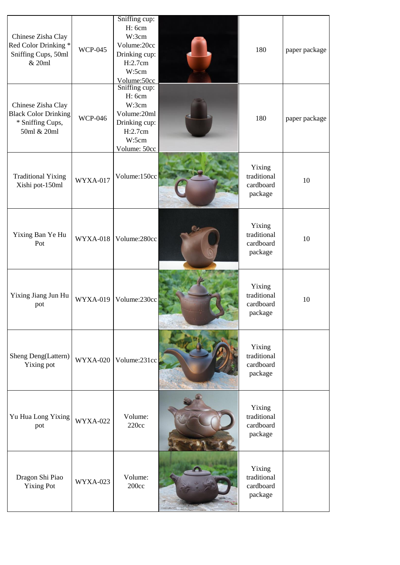| Chinese Zisha Clay<br>Red Color Drinking *<br>Sniffing Cups, 50ml<br>& 20ml          | <b>WCP-045</b>  | Sniffing cup:<br>H: 6cm<br>W:3cm<br>Volume:20cc<br>Drinking cup:<br>H:2.7cm<br>W:5cm<br>Volume:50cc  | 180                                           | paper package |
|--------------------------------------------------------------------------------------|-----------------|------------------------------------------------------------------------------------------------------|-----------------------------------------------|---------------|
| Chinese Zisha Clay<br><b>Black Color Drinking</b><br>* Sniffing Cups,<br>50ml & 20ml | <b>WCP-046</b>  | Sniffing cup:<br>H: 6cm<br>W:3cm<br>Volume:20ml<br>Drinking cup:<br>H:2.7cm<br>W:5cm<br>Volume: 50cc | 180                                           | paper package |
| <b>Traditional Yixing</b><br>Xishi pot-150ml                                         | WYXA-017        | Volume:150cc                                                                                         | Yixing<br>traditional<br>cardboard<br>package | 10            |
| Yixing Ban Ye Hu<br>Pot                                                              | WYXA-018        | Volume:280cc                                                                                         | Yixing<br>traditional<br>cardboard<br>package | 10            |
| Yixing Jiang Jun Hu<br>pot                                                           | <b>WYXA-019</b> | Volume:230cc                                                                                         | Yixing<br>traditional<br>cardboard<br>package | 10            |
| Sheng Deng(Lattern)<br>Yixing pot                                                    | <b>WYXA-020</b> | Volume:231cc                                                                                         | Yixing<br>traditional<br>cardboard<br>package |               |
| Yu Hua Long Yixing<br>pot                                                            | <b>WYXA-022</b> | Volume:<br>220cc                                                                                     | Yixing<br>traditional<br>cardboard<br>package |               |
| Dragon Shi Piao<br><b>Yixing Pot</b>                                                 | <b>WYXA-023</b> | Volume:<br>200cc                                                                                     | Yixing<br>traditional<br>cardboard<br>package |               |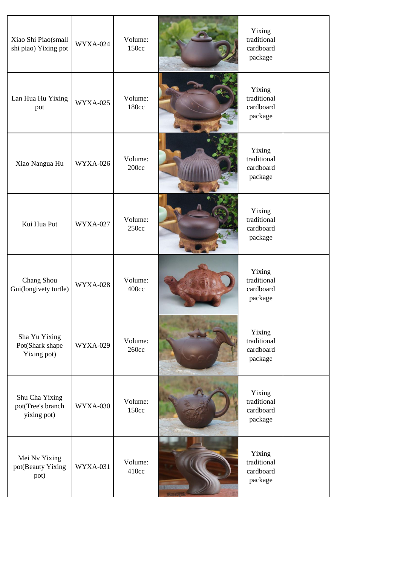| Xiao Shi Piao(small<br>shi piao) Yixing pot        | <b>WYXA-024</b> | Volume:<br>150cc | Yixing<br>traditional<br>cardboard<br>package |  |
|----------------------------------------------------|-----------------|------------------|-----------------------------------------------|--|
| Lan Hua Hu Yixing<br>pot                           | <b>WYXA-025</b> | Volume:<br>180cc | Yixing<br>traditional<br>cardboard<br>package |  |
| Xiao Nangua Hu                                     | <b>WYXA-026</b> | Volume:<br>200cc | Yixing<br>traditional<br>cardboard<br>package |  |
| Kui Hua Pot                                        | <b>WYXA-027</b> | Volume:<br>250cc | Yixing<br>traditional<br>cardboard<br>package |  |
| Chang Shou<br>Gui(longivety turtle)                | <b>WYXA-028</b> | Volume:<br>400cc | Yixing<br>traditional<br>cardboard<br>package |  |
| Sha Yu Yixing<br>Pot(Shark shape<br>Yixing pot)    | <b>WYXA-029</b> | Volume:<br>260cc | Yixing<br>traditional<br>cardboard<br>package |  |
| Shu Cha Yixing<br>pot(Tree's branch<br>yixing pot) | WYXA-030        | Volume:<br>150cc | Yixing<br>traditional<br>cardboard<br>package |  |
| Mei Nv Yixing<br>pot(Beauty Yixing<br>pot)         | <b>WYXA-031</b> | Volume:<br>410cc | Yixing<br>traditional<br>cardboard<br>package |  |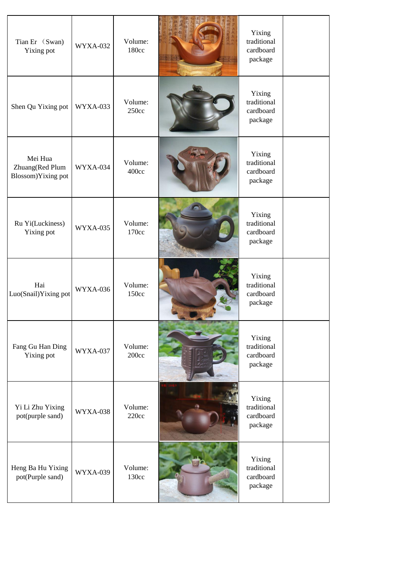| Tian Er (Swan)<br>Yixing pot                     | <b>WYXA-032</b> | Volume:<br>180cc | Yixing<br>traditional<br>cardboard<br>package |  |
|--------------------------------------------------|-----------------|------------------|-----------------------------------------------|--|
| Shen Qu Yixing pot                               | WYXA-033        | Volume:<br>250cc | Yixing<br>traditional<br>cardboard<br>package |  |
| Mei Hua<br>Zhuang(Red Plum<br>Blossom)Yixing pot | WYXA-034        | Volume:<br>400cc | Yixing<br>traditional<br>cardboard<br>package |  |
| Ru Yi(Luckiness)<br>Yixing pot                   | <b>WYXA-035</b> | Volume:<br>170cc | Yixing<br>traditional<br>cardboard<br>package |  |
| Hai<br>Luo(Snail)Yixing pot                      | WYXA-036        | Volume:<br>150cc | Yixing<br>traditional<br>cardboard<br>package |  |
| Fang Gu Han Ding<br>Yixing pot                   | WYXA-037        | Volume:<br>200cc | Yixing<br>traditional<br>cardboard<br>package |  |
| Yi Li Zhu Yixing<br>pot(purple sand)             | WYXA-038        | Volume:<br>220cc | Yixing<br>traditional<br>cardboard<br>package |  |
| Heng Ba Hu Yixing<br>pot(Purple sand)            | <b>WYXA-039</b> | Volume:<br>130cc | Yixing<br>traditional<br>cardboard<br>package |  |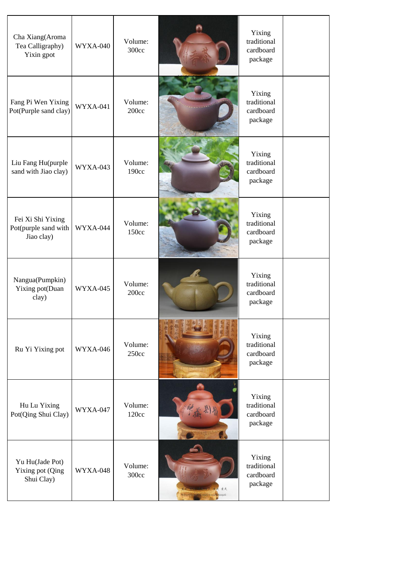| Cha Xiang(Aroma<br>Tea Calligraphy)<br>Yixin gpot       | WYXA-040 | Volume:<br>300cc | Yixing<br>traditional<br>cardboard<br>package |  |
|---------------------------------------------------------|----------|------------------|-----------------------------------------------|--|
| Fang Pi Wen Yixing<br>Pot(Purple sand clay)             | WYXA-041 | Volume:<br>200cc | Yixing<br>traditional<br>cardboard<br>package |  |
| Liu Fang Hu(purple<br>sand with Jiao clay)              | WYXA-043 | Volume:<br>190cc | Yixing<br>traditional<br>cardboard<br>package |  |
| Fei Xi Shi Yixing<br>Pot(purple sand with<br>Jiao clay) | WYXA-044 | Volume:<br>150cc | Yixing<br>traditional<br>cardboard<br>package |  |
| Nangua(Pumpkin)<br>Yixing pot(Duan<br>clay)             | WYXA-045 | Volume:<br>200cc | Yixing<br>traditional<br>cardboard<br>package |  |
| Ru Yi Yixing pot                                        | WYXA-046 | Volume:<br>250cc | Yixing<br>traditional<br>cardboard<br>package |  |
| Hu Lu Yixing<br>Pot(Qing Shui Clay)                     | WYXA-047 | Volume:<br>120cc | Yixing<br>traditional<br>cardboard<br>package |  |
| Yu Hu(Jade Pot)<br>Yixing pot (Qing<br>Shui Clay)       | WYXA-048 | Volume:<br>300cc | Yixing<br>traditional<br>cardboard<br>package |  |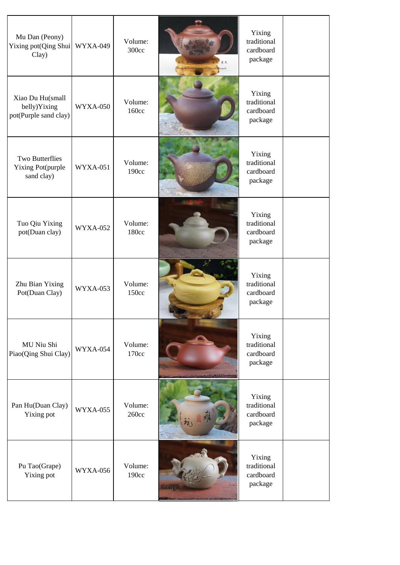| Mu Dan (Peony)<br>Yixing pot(Qing Shui<br>Clay)           | <b>WYXA-049</b> | Volume:<br>300cc | <mark>lu</mark> angshi | Yixing<br>traditional<br>cardboard<br>package |  |
|-----------------------------------------------------------|-----------------|------------------|------------------------|-----------------------------------------------|--|
| Xiao Du Hu(small<br>belly)Yixing<br>pot(Purple sand clay) | <b>WYXA-050</b> | Volume:<br>160cc |                        | Yixing<br>traditional<br>cardboard<br>package |  |
| <b>Two Butterflies</b><br>Yixing Pot(purple<br>sand clay) | <b>WYXA-051</b> | Volume:<br>190cc |                        | Yixing<br>traditional<br>cardboard<br>package |  |
| Tuo Qiu Yixing<br>pot(Duan clay)                          | <b>WYXA-052</b> | Volume:<br>180cc |                        | Yixing<br>traditional<br>cardboard<br>package |  |
| Zhu Bian Yixing<br>Pot(Duan Clay)                         | <b>WYXA-053</b> | Volume:<br>150cc |                        | Yixing<br>traditional<br>cardboard<br>package |  |
| MU Niu Shi<br>Piao(Qing Shui Clay)                        | WYXA-054        | Volume:<br>170cc |                        | Yixing<br>traditional<br>cardboard<br>package |  |
| Pan Hu(Duan Clay)<br>Yixing pot                           | <b>WYXA-055</b> | Volume:<br>260cc |                        | Yixing<br>traditional<br>cardboard<br>package |  |
| Pu Tao(Grape)<br>Yixing pot                               | <b>WYXA-056</b> | Volume:<br>190cc | ÷n c                   | Yixing<br>traditional<br>cardboard<br>package |  |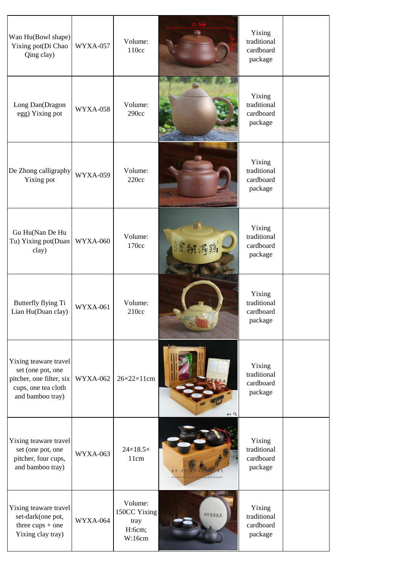| Wan Hu(Bowl shape)<br>Yixing pot(Di Chao<br>Qing clay)                                                            | <b>WYXA-057</b> | Volume:<br>110cc                                    |                 | Yixing<br>traditional<br>cardboard<br>package |  |
|-------------------------------------------------------------------------------------------------------------------|-----------------|-----------------------------------------------------|-----------------|-----------------------------------------------|--|
| Long Dan(Dragon<br>egg) Yixing pot                                                                                | <b>WYXA-058</b> | Volume:<br>290cc                                    |                 | Yixing<br>traditional<br>cardboard<br>package |  |
| De Zhong calligraphy<br>Yixing pot                                                                                | <b>WYXA-059</b> | Volume:<br>220cc                                    |                 | Yixing<br>traditional<br>cardboard<br>package |  |
| Gu Hu(Nan De Hu<br>Tu) Yixing pot(Duan<br>clay)                                                                   | <b>WYXA-060</b> | Volume:<br>170cc                                    |                 | Yixing<br>traditional<br>cardboard<br>package |  |
| Butterfly flying Ti<br>Lian Hu(Duan clay)                                                                         | <b>WYXA-061</b> | Volume:<br>210cc                                    |                 | Yixing<br>traditional<br>cardboard<br>package |  |
| Yixing teaware travel<br>set (one pot, one<br>pitcher, one filter, six<br>cups, one tea cloth<br>and bamboo tray) | <b>WYXA-062</b> | $26 \times 22 \times 11$ cm                         | <b>** Q</b>     | Yixing<br>traditional<br>cardboard<br>package |  |
| Yixing teaware travel<br>set (one pot, one<br>pitcher, four cups,<br>and bamboo tray)                             | <b>WYXA-063</b> | $24\times18.5\times$<br>11cm                        | angshi huangshi | Yixing<br>traditional<br>cardboard<br>package |  |
| Yixing teaware travel<br>set-dark(one pot,<br>three $cups + one$<br>Yixing clay tray)                             | WYXA-064        | Volume:<br>150CC Yixing<br>tray<br>H:6cm;<br>W:16cm | 移行最佳茶具          | Yixing<br>traditional<br>cardboard<br>package |  |